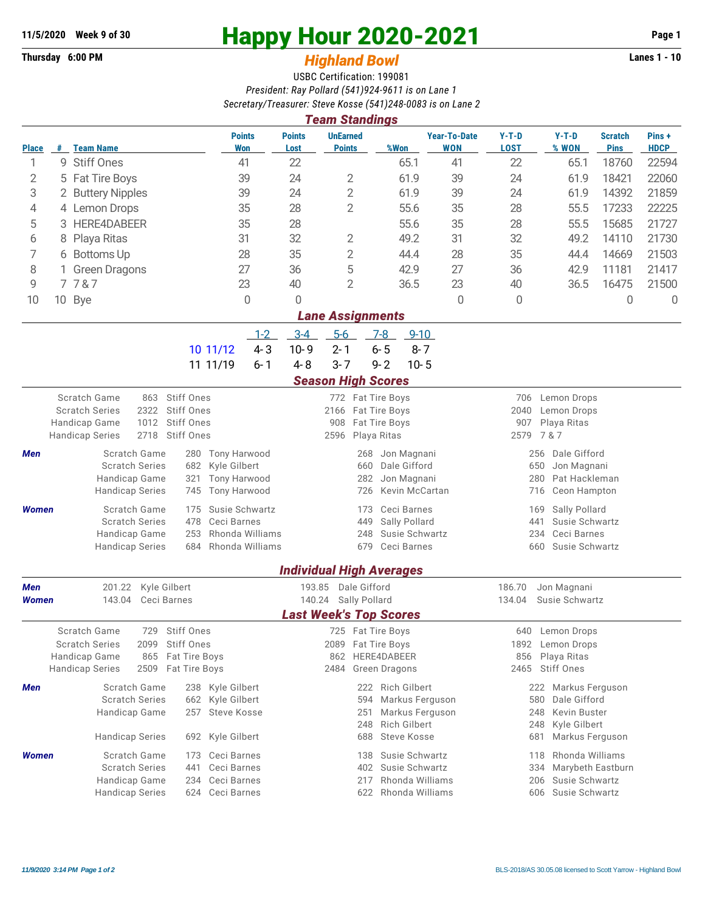## **Thursday 6:00 PM** *Highland Bowl* **Lanes 1 - 10**

## **11/5/2020 Week 9 of 30 Happy Hour 2020-2021 Page 1**

## USBC Certification: 199081 *President: Ray Pollard (541)924-9611 is on Lane 1 Secretary/Treasurer: Steve Kosse (541)248-0083 is on Lane 2*

| <b>Team Standings</b>   |                      |                                                        |                                              |                                         |                                  |                                                 |                        |                                             |                               |                      |  |  |  |
|-------------------------|----------------------|--------------------------------------------------------|----------------------------------------------|-----------------------------------------|----------------------------------|-------------------------------------------------|------------------------|---------------------------------------------|-------------------------------|----------------------|--|--|--|
| <b>Place</b>            |                      | # Team Name                                            | <b>Points</b><br><b>Won</b>                  | <b>Points</b><br>Lost                   | <b>UnEarned</b><br><b>Points</b> | <b>Year-To-Date</b><br>%Won<br>WON              | $Y-T-D$<br><b>LOST</b> | $Y-T-D$<br>% WON                            | <b>Scratch</b><br><b>Pins</b> | Pins+<br><b>HDCP</b> |  |  |  |
| 1                       |                      | 9 Stiff Ones                                           | 41                                           | 22                                      |                                  | 65.1<br>41                                      | 22                     | 65.1                                        |                               | 22594                |  |  |  |
| 2                       | 5                    | <b>Fat Tire Boys</b>                                   | 39                                           | 24                                      | 2                                | 39<br>61.9                                      | 24                     | 61.9                                        | 18421                         | 22060                |  |  |  |
| 3                       |                      | 2 Buttery Nipples<br>39                                |                                              | 24                                      | $\overline{2}$                   | 61.9<br>39                                      | 24                     | 61.9                                        | 14392                         | 21859                |  |  |  |
| 4                       |                      | 4 Lemon Drops                                          | 35                                           | 28                                      | $\overline{2}$                   | 55.6<br>35                                      | 28                     | 55.5                                        | 17233                         | 22225                |  |  |  |
| 5                       |                      | <b>HERE4DABEER</b><br>35<br>3                          |                                              | 28                                      |                                  | 55.6<br>35                                      | 28                     | 55.5                                        | 15685                         | 21727                |  |  |  |
| 6                       | 8                    | 31<br>Playa Ritas                                      |                                              | 32                                      | 2                                | 49.2<br>31                                      | 32                     | 49.2                                        | 14110                         | 21730                |  |  |  |
| 7                       | 6 Bottoms Up         |                                                        | 28                                           | 35                                      | $\overline{2}$                   | 28<br>44.4                                      | 35                     | 44.4                                        | 14669                         | 21503                |  |  |  |
| 8                       | <b>Green Dragons</b> |                                                        | 27                                           | 36                                      | 5                                | 42.9<br>27                                      | 36                     | 42.9                                        | 11181                         | 21417                |  |  |  |
| 9                       |                      | 7787                                                   | 23                                           | 40                                      | $\overline{2}$                   | 23<br>36.5                                      | 40                     | 36.5                                        | 16475                         | 21500                |  |  |  |
| 10                      |                      | 10 Bye                                                 | $\theta$                                     | 0                                       |                                  | $\Omega$                                        | 0                      |                                             | 0                             | $\overline{0}$       |  |  |  |
| <b>Lane Assignments</b> |                      |                                                        |                                              |                                         |                                  |                                                 |                        |                                             |                               |                      |  |  |  |
|                         |                      |                                                        | $1 - 2$                                      | $3 - 4$                                 | $5-6$<br>$7-8$                   | $9 - 10$                                        |                        |                                             |                               |                      |  |  |  |
|                         |                      |                                                        | $4 - 3$<br>10 11/12                          | $10 - 9$<br>$2 - 1$                     | $6 - 5$                          | $8 - 7$                                         |                        |                                             |                               |                      |  |  |  |
|                         |                      |                                                        | 11 11/19<br>$6 - 1$                          | $4 - 8$<br>$3 - 7$                      | $9 - 2$                          | $10 - 5$                                        |                        |                                             |                               |                      |  |  |  |
|                         |                      |                                                        |                                              |                                         | <b>Season High Scores</b>        |                                                 |                        |                                             |                               |                      |  |  |  |
|                         |                      | Scratch Game<br>863                                    | Stiff Ones                                   | 772 Fat Tire Boys<br>706<br>Lemon Drops |                                  |                                                 |                        |                                             |                               |                      |  |  |  |
|                         |                      | <b>Scratch Series</b><br>2322<br>Handicap Game<br>1012 | Stiff Ones<br>Stiff Ones                     | 2166<br>908                             | Fat Tire Boys<br>Fat Tire Boys   |                                                 | 2040                   | Lemon Drops<br>907<br>Playa Ritas           |                               |                      |  |  |  |
|                         |                      | 2718<br><b>Handicap Series</b>                         | Stiff Ones                                   | 2596                                    | Playa Ritas                      | 2579                                            | 7 & 7                  |                                             |                               |                      |  |  |  |
| Men                     |                      | Scratch Game                                           | <b>Tony Harwood</b><br>280                   |                                         | Jon Magnani<br>268               |                                                 | Dale Gifford<br>256    |                                             |                               |                      |  |  |  |
|                         |                      | <b>Scratch Series</b>                                  | Kyle Gilbert<br>682                          |                                         | 660                              | Dale Gifford                                    |                        | 650<br>Jon Magnani                          |                               |                      |  |  |  |
|                         |                      | Handicap Game                                          | <b>Tony Harwood</b><br>321                   |                                         | 282                              | Jon Magnani                                     |                        | 280<br>Pat Hackleman                        |                               |                      |  |  |  |
|                         |                      | <b>Handicap Series</b>                                 | 745<br><b>Tony Harwood</b>                   |                                         | 726                              | Kevin McCartan                                  |                        | 716<br>Ceon Hampton                         |                               |                      |  |  |  |
| <b>Women</b>            |                      | Scratch Game                                           | Susie Schwartz<br>175                        |                                         | Ceci Barnes<br>173               |                                                 | Sally Pollard<br>169   |                                             |                               |                      |  |  |  |
|                         |                      | <b>Scratch Series</b>                                  | Ceci Barnes<br>478<br>Rhonda Williams<br>253 |                                         | 449<br>248                       | Sally Pollard<br>Susie Schwartz                 |                        | 441<br>Susie Schwartz<br>234<br>Ceci Barnes |                               |                      |  |  |  |
|                         |                      | Handicap Game<br><b>Handicap Series</b>                | Rhonda Williams<br>684                       |                                         | 679                              | Ceci Barnes                                     |                        | 660<br>Susie Schwartz                       |                               |                      |  |  |  |
|                         |                      |                                                        |                                              |                                         |                                  |                                                 |                        |                                             |                               |                      |  |  |  |
| Men                     |                      | 201.22 Kyle Gilbert                                    |                                              | <b>Individual High Averages</b>         | 193.85 Dale Gifford              |                                                 | 186.70                 | Jon Magnani                                 |                               |                      |  |  |  |
| <b>Women</b>            |                      | 143.04<br>Ceci Barnes                                  |                                              |                                         | 140.24 Sally Pollard             |                                                 | 134.04                 | Susie Schwartz                              |                               |                      |  |  |  |
|                         |                      |                                                        |                                              | <b>Last Week's Top Scores</b>           |                                  |                                                 |                        |                                             |                               |                      |  |  |  |
|                         |                      | Scratch Game<br>729                                    | Stiff Ones                                   |                                         | 725 Fat Tire Boys                |                                                 | 640                    | Lemon Drops                                 |                               |                      |  |  |  |
|                         |                      | <b>Scratch Series</b><br>2099                          | Stiff Ones                                   | 2089 Fat Tire Boys                      |                                  |                                                 | 1892<br>Lemon Drops    |                                             |                               |                      |  |  |  |
|                         |                      | Handicap Game<br><b>Handicap Series</b><br>2509        | 865 Fat Tire Boys<br><b>Fat Tire Boys</b>    | 2484                                    | 862 HERE4DABEER<br>Green Dragons |                                                 | 856                    | Playa Ritas<br>2465 Stiff Ones              |                               |                      |  |  |  |
|                         |                      |                                                        |                                              |                                         |                                  |                                                 |                        |                                             |                               |                      |  |  |  |
| Men                     |                      | Scratch Game<br><b>Scratch Series</b>                  | 238 Kyle Gilbert<br>662 Kyle Gilbert         |                                         | 222 Rich Gilbert<br>594          | Markus Ferguson                                 |                        | 222 Markus Ferguson<br>Dale Gifford<br>580  |                               |                      |  |  |  |
|                         |                      | Handicap Game                                          | Steve Kosse<br>257                           |                                         | 251                              | Markus Ferguson                                 |                        | Kevin Buster<br>248                         |                               |                      |  |  |  |
|                         |                      |                                                        |                                              |                                         | 248                              | <b>Rich Gilbert</b>                             |                        | Kyle Gilbert<br>248                         |                               |                      |  |  |  |
|                         |                      | <b>Handicap Series</b>                                 | 692 Kyle Gilbert                             |                                         | 688                              | Steve Kosse                                     |                        | Markus Ferguson<br>681                      |                               |                      |  |  |  |
| <b>Women</b>            |                      | Scratch Game                                           | Ceci Barnes<br>173                           |                                         | 138                              | Susie Schwartz                                  |                        | Rhonda Williams<br>118                      |                               |                      |  |  |  |
|                         |                      | <b>Scratch Series</b>                                  | Ceci Barnes<br>441                           |                                         | 402                              | Susie Schwartz                                  |                        | 334<br>Marybeth Eastburn                    |                               |                      |  |  |  |
|                         |                      | Handicap Game                                          | Ceci Barnes<br>234                           |                                         |                                  | Rhonda Williams<br>Susie Schwartz<br>217<br>206 |                        |                                             |                               |                      |  |  |  |
|                         |                      | <b>Handicap Series</b>                                 | 624 Ceci Barnes                              |                                         |                                  | 622 Rhonda Williams                             |                        | Susie Schwartz<br>606                       |                               |                      |  |  |  |